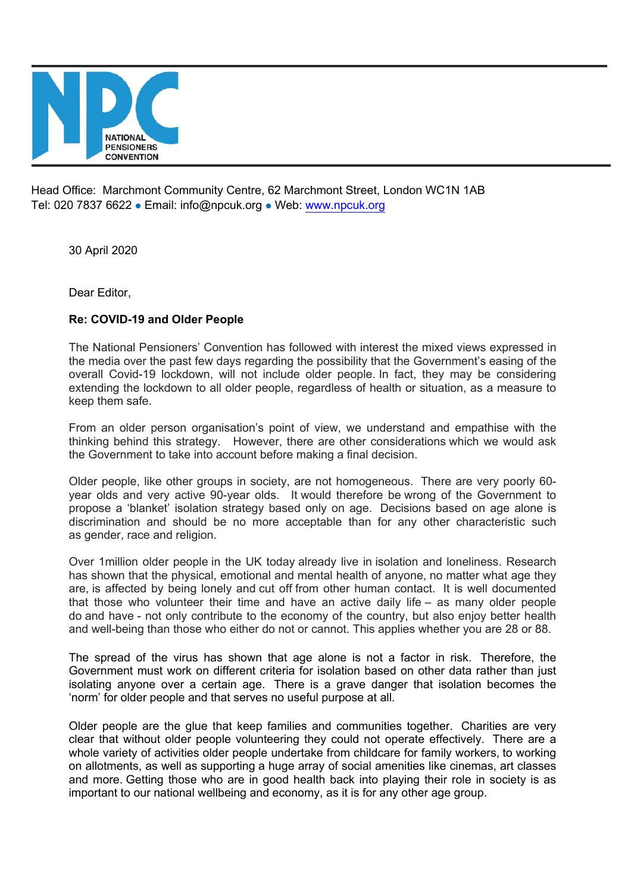

Head Office: Marchmont Community Centre, 62 Marchmont Street, London WC1N 1AB Tel: 020 7837 6622 · Email: info@npcuk.org · Web: www.npcuk.org

30 April 2020

Dear Editor,

## **Re: COVID-19 and Older People**

The National Pensioners' Convention has followed with interest the mixed views expressed in the media over the past few days regarding the possibility that the Government's easing of the overall Covid-19 lockdown, will not include older people. In fact, they may be considering extending the lockdown to all older people, regardless of health or situation, as a measure to keep them safe.

From an older person organisation's point of view, we understand and empathise with the thinking behind this strategy. However, there are other considerations which we would ask the Government to take into account before making a final decision.

Older people, like other groups in society, are not homogeneous. There are very poorly 60 year olds and very active 90-year olds. It would therefore be wrong of the Government to propose a 'blanket' isolation strategy based only on age. Decisions based on age alone is discrimination and should be no more acceptable than for any other characteristic such as gender, race and religion.

Over 1million older people in the UK today already live in isolation and loneliness. Research has shown that the physical, emotional and mental health of anyone, no matter what age they are, is affected by being lonely and cut off from other human contact. It is well documented that those who volunteer their time and have an active daily life – as many older people do and have - not only contribute to the economy of the country, but also enjoy better health and well-being than those who either do not or cannot. This applies whether you are 28 or 88.

The spread of the virus has shown that age alone is not a factor in risk. Therefore, the Government must work on different criteria for isolation based on other data rather than just isolating anyone over a certain age. There is a grave danger that isolation becomes the 'norm' for older people and that serves no useful purpose at all.

Older people are the glue that keep families and communities together. Charities are very clear that without older people volunteering they could not operate effectively. There are a whole variety of activities older people undertake from childcare for family workers, to working on allotments, as well as supporting a huge array of social amenities like cinemas, art classes and more. Getting those who are in good health back into playing their role in society is as important to our national wellbeing and economy, as it is for any other age group.